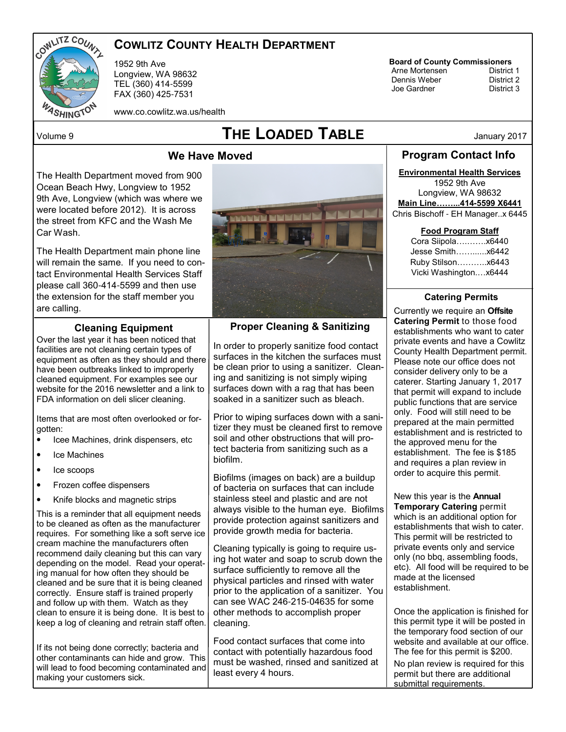

# COWLITZ COUNTY HEALTH DEPARTMENT

1952 9th Ave Longview, WA 98632 TEL (360) 414-5599 FAX (360) 425-7531

# **Board of County Commissioners**<br>Arne Mortensen **District 1**

Arne Mortensen<br>
Dennis Weber<br>
District 2 Dennis Weber District 2 Joe Gardner

www.co.cowlitz.wa.us/health

# $\blacksquare$   $\blacksquare$   $\blacksquare$   $\blacksquare$   $\blacksquare$   $\blacksquare$   $\blacksquare$   $\blacksquare$   $\blacksquare$   $\blacksquare$   $\blacksquare$   $\blacksquare$   $\blacksquare$   $\blacksquare$   $\blacksquare$   $\blacksquare$   $\blacksquare$   $\blacksquare$   $\blacksquare$   $\blacksquare$   $\blacksquare$   $\blacksquare$   $\blacksquare$   $\blacksquare$   $\blacksquare$   $\blacksquare$   $\blacksquare$   $\blacksquare$   $\blacksquare$   $\blacksquare$   $\blacksquare$   $\blacks$

# We Have Moved

The Health Department moved from 900 Ocean Beach Hwy, Longview to 1952 9th Ave, Longview (which was where we were located before 2012). It is across the street from KFC and the Wash Me Car Wash.

The Health Department main phone line will remain the same. If you need to contact Environmental Health Services Staff please call 360-414-5599 and then use the extension for the staff member you are calling.

#### Cleaning Equipment

Over the last year it has been noticed that facilities are not cleaning certain types of equipment as often as they should and there have been outbreaks linked to improperly cleaned equipment. For examples see our website for the 2016 newsletter and a link to FDA information on deli slicer cleaning.

Items that are most often overlooked or forgotten:

- Icee Machines, drink dispensers, etc
- Ice Machines
- Ice scoops
- Frozen coffee dispensers
- Knife blocks and magnetic strips

This is a reminder that all equipment needs to be cleaned as often as the manufacturer requires. For something like a soft serve ice cream machine the manufacturers often recommend daily cleaning but this can vary depending on the model. Read your operating manual for how often they should be cleaned and be sure that it is being cleaned correctly. Ensure staff is trained properly and follow up with them. Watch as they clean to ensure it is being done. It is best to keep a log of cleaning and retrain staff often.

If its not being done correctly; bacteria and other contaminants can hide and grow. This will lead to food becoming contaminated and making your customers sick.



Proper Cleaning & Sanitizing

In order to properly sanitize food contact surfaces in the kitchen the surfaces must be clean prior to using a sanitizer. Cleaning and sanitizing is not simply wiping surfaces down with a rag that has been soaked in a sanitizer such as bleach.

Prior to wiping surfaces down with a sanitizer they must be cleaned first to remove soil and other obstructions that will protect bacteria from sanitizing such as a biofilm.

Biofilms (images on back) are a buildup of bacteria on surfaces that can include stainless steel and plastic and are not always visible to the human eye. Biofilms provide protection against sanitizers and provide growth media for bacteria.

Cleaning typically is going to require using hot water and soap to scrub down the surface sufficiently to remove all the physical particles and rinsed with water prior to the application of a sanitizer. You can see WAC 246-215-04635 for some other methods to accomplish proper cleaning.

Food contact surfaces that come into contact with potentially hazardous food must be washed, rinsed and sanitized at least every 4 hours.

Program Contact Info

Environmental Health Services

1952 9th Ave Longview, WA 98632 Main Line...414**-**5599 X6441 Chris Bischoff - EH Manager..x 6445

#### Food Program Staff

Cora Siipola........... x6440 Jesse Smith&&......x6442 Ruby Stilson&&&..x6443 Vicki Washington....x6444

#### Catering Permits

Currently we require an Offsite Catering Permit to those food establishments who want to cater private events and have a Cowlitz County Health Department permit. Please note our office does not consider delivery only to be a caterer. Starting January 1, 2017 that permit will expand to include public functions that are service only. Food will still need to be prepared at the main permitted establishment and is restricted to the approved menu for the establishment. The fee is \$185 and requires a plan review in order to acquire this permit.

New this year is the Annual Temporary Catering permit which is an additional option for establishments that wish to cater. This permit will be restricted to private events only and service only (no bbq, assembling foods, etc). All food will be required to be made at the licensed establishment.

Once the application is finished for this permit type it will be posted in the temporary food section of our website and available at our office. The fee for this permit is \$200. No plan review is required for this permit but there are additional submittal requirements.